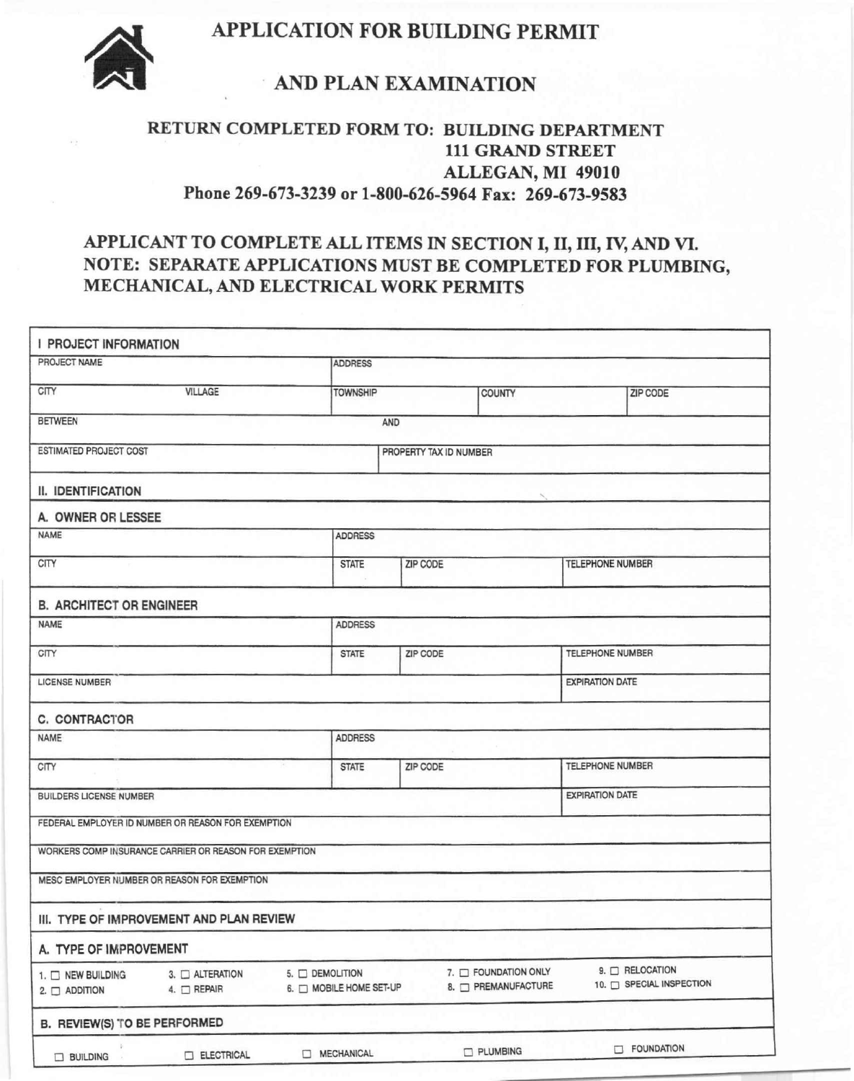# 11 **APPLICATION FOR BUILDING PERMIT**



### **. AND PLAN EXAMINATION**

#### **RETURN COMPLETED FORM TO: BUILDING DEPARTMENT 111 GRAND STREET ALLEGAN, MI 49010 Phone 269-673-3239 or 1-800-626-5964 Fax: 269-673-9583**

## **APPLICANT TO COMPLETE ALL ITEMS IN SECTION I, II, III,** rv **AND VI. NOTE: SEPARATE APPLICATIONS MUST BE COMPLETED FOR PLUMBING, MECHANICAL, AND ELECTRICAL WORK PERMITS**

| I PROJECT INFORMATION                                  |                                                                        |                        |               |                  |                                           |  |  |  |
|--------------------------------------------------------|------------------------------------------------------------------------|------------------------|---------------|------------------|-------------------------------------------|--|--|--|
| PROJECT NAME                                           |                                                                        | <b>ADDRESS</b>         |               |                  |                                           |  |  |  |
| CITY<br><b>VILLAGE</b>                                 | <b>TOWNSHIP</b>                                                        |                        | <b>COUNTY</b> |                  | <b>ZIP CODE</b>                           |  |  |  |
| <b>BETWEEN</b>                                         |                                                                        | AND                    |               |                  |                                           |  |  |  |
| ESTIMATED PROJECT COST                                 |                                                                        | PROPERTY TAX ID NUMBER |               |                  |                                           |  |  |  |
| II. IDENTIFICATION                                     |                                                                        |                        |               |                  |                                           |  |  |  |
| A. OWNER OR LESSEE                                     |                                                                        |                        |               |                  |                                           |  |  |  |
| <b>NAME</b>                                            | <b>ADDRESS</b>                                                         |                        |               |                  |                                           |  |  |  |
| CITY                                                   | <b>STATE</b>                                                           | <b>ZIP CODE</b>        |               |                  | <b>TELEPHONE NUMBER</b>                   |  |  |  |
| <b>B. ARCHITECT OR ENGINEER</b>                        |                                                                        |                        |               |                  |                                           |  |  |  |
| <b>NAME</b>                                            | <b>ADDRESS</b>                                                         |                        |               |                  |                                           |  |  |  |
| CITY                                                   | <b>STATE</b>                                                           | ZIP CODE               |               |                  | TELEPHONE NUMBER                          |  |  |  |
| <b>EXPIRATION DATE</b><br><b>LICENSE NUMBER</b>        |                                                                        |                        |               |                  |                                           |  |  |  |
| C. CONTRACTOR                                          |                                                                        |                        |               |                  |                                           |  |  |  |
| <b>NAME</b>                                            |                                                                        | <b>ADDRESS</b>         |               |                  |                                           |  |  |  |
| CITY                                                   | <b>STATE</b>                                                           | ZIP CODE               |               | TELEPHONE NUMBER |                                           |  |  |  |
| <b>BUILDERS LICENSE NUMBER</b>                         | <b>EXPIRATION DATE</b>                                                 |                        |               |                  |                                           |  |  |  |
| FEDERAL EMPLOYER ID NUMBER OR REASON FOR EXEMPTION     |                                                                        |                        |               |                  |                                           |  |  |  |
| WORKERS COMP INSURANCE CARRIER OR REASON FOR EXEMPTION |                                                                        |                        |               |                  |                                           |  |  |  |
| MESC EMPLOYER NUMBER OR REASON FOR EXEMPTION           |                                                                        |                        |               |                  |                                           |  |  |  |
| III. TYPE OF IMPROVEMENT AND PLAN REVIEW               |                                                                        |                        |               |                  |                                           |  |  |  |
| A. TYPE OF IMPROVEMENT                                 |                                                                        |                        |               |                  |                                           |  |  |  |
| 1. D NEW BUILDING<br>4. OREPAIR<br>$2. \Box$ ADDITION  | 5. O DEMOLITION<br>3. ALTERATION<br>6. <sup>D</sup> MOBILE HOME SET-UP |                        |               |                  | 9. O RELOCATION<br>10. BPECIAL INSPECTION |  |  |  |
| B. REVIEW(S) TO BE PERFORMED                           |                                                                        |                        |               |                  |                                           |  |  |  |
| ELECTRICAL<br>$\Box$ BUILDING                          | MECHANICAL                                                             |                        | PLUMBING      |                  | FOUNDATION                                |  |  |  |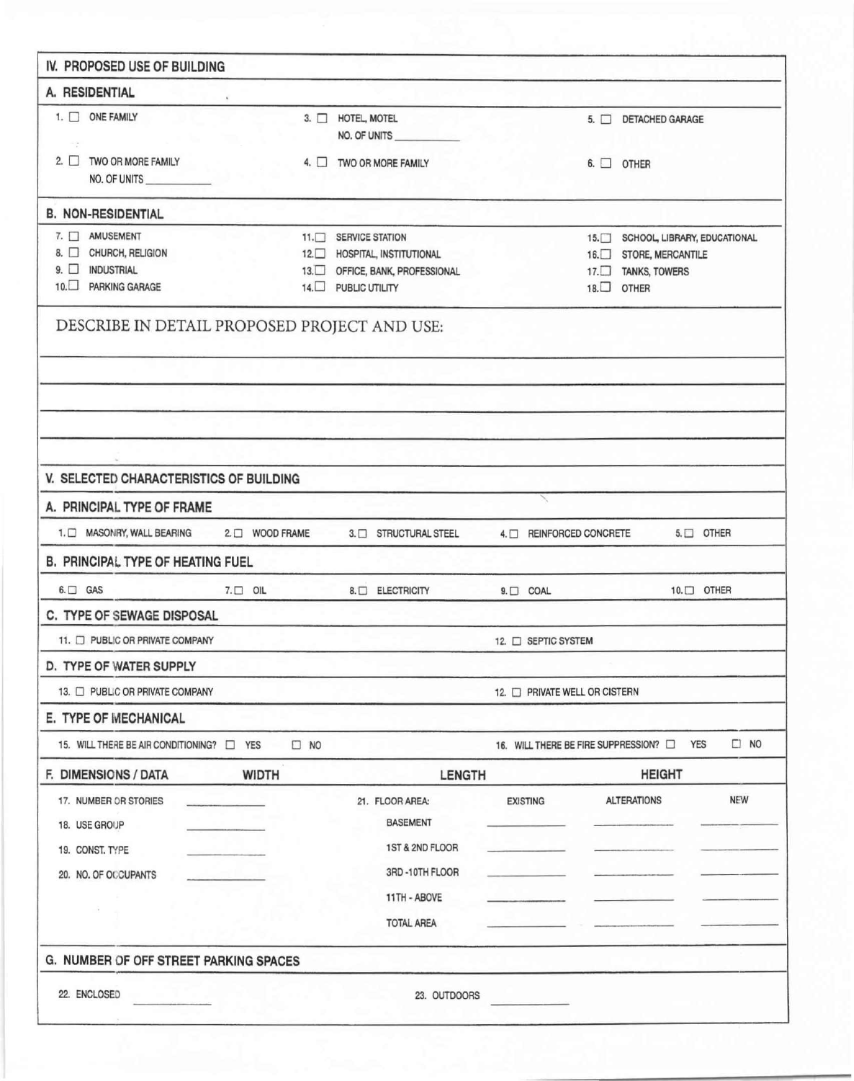| IV. PROPOSED USE OF BUILDING                 |                 |           |                             |                                |  |                                     |                                  |                 |
|----------------------------------------------|-----------------|-----------|-----------------------------|--------------------------------|--|-------------------------------------|----------------------------------|-----------------|
| A. RESIDENTIAL                               |                 |           |                             |                                |  |                                     |                                  |                 |
| 1. ONE FAMILY                                |                 |           | 3. HOTEL, MOTEL             | NO. OF UNITS                   |  |                                     | 5. DETACHED GARAGE               |                 |
| - 2<br>2. TWO OR MORE FAMILY<br>NO. OF UNITS |                 |           |                             | 4. TWO OR MORE FAMILY          |  |                                     | $6.$ $\Box$ OTHER                |                 |
| <b>B. NON-RESIDENTIAL</b>                    |                 |           |                             |                                |  |                                     |                                  |                 |
| 7. AMUSEMENT                                 |                 |           | 11. SERVICE STATION         |                                |  |                                     | 15. SCHOOL, LIBRARY, EDUCATIONAL |                 |
| 8. CHURCH, RELIGION                          |                 |           |                             | 12. HOSPITAL, INSTITUTIONAL    |  |                                     | 16. STORE, MERCANTILE            |                 |
| 9. O INDUSTRIAL<br>10. PARKING GARAGE        |                 |           | 14. PUBLIC UTILITY          | 13. OFFICE, BANK, PROFESSIONAL |  |                                     | 17. TANKS, TOWERS<br>18. OTHER   |                 |
| DESCRIBE IN DETAIL PROPOSED PROJECT AND USE: |                 |           |                             |                                |  |                                     |                                  |                 |
|                                              |                 |           |                             |                                |  |                                     |                                  |                 |
|                                              |                 |           |                             |                                |  |                                     |                                  |                 |
|                                              |                 |           |                             |                                |  |                                     |                                  |                 |
| V. SELECTED CHARACTERISTICS OF BUILDING      |                 |           |                             |                                |  |                                     |                                  |                 |
| A. PRINCIPAL TYPE OF FRAME                   |                 |           |                             |                                |  |                                     |                                  |                 |
| 1. O MASONRY, WALL BEARING                   | 2. O WOOD FRAME |           |                             | 3. STRUCTURAL STEEL            |  | 4. REINFORCED CONCRETE              |                                  | $5. \Box$ OTHER |
| <b>B. PRINCIPAL TYPE OF HEATING FUEL</b>     |                 |           |                             |                                |  |                                     |                                  |                 |
| $6. \Box$ GAS                                | $7. \Box$ OIL   |           |                             | 8. BLECTRICITY                 |  | $9. \Box$ COAL                      |                                  | 10. OTHER       |
| C. TYPE OF SEWAGE DISPOSAL                   |                 |           |                             |                                |  |                                     |                                  |                 |
| 11. PUBLIC OR PRIVATE COMPANY                |                 |           |                             |                                |  | 12. C SEPTIC SYSTEM                 |                                  |                 |
| D. TYPE OF WATER SUPPLY                      |                 |           |                             |                                |  |                                     |                                  |                 |
| 13. D PUBLIC OR PRIVATE COMPANY              |                 |           | 12. PRIVATE WELL OR CISTERN |                                |  |                                     |                                  |                 |
| E. TYPE OF MECHANICAL                        |                 |           |                             |                                |  |                                     |                                  |                 |
| 15. WILL THERE BE AIR CONDITIONING? 1 YES    |                 | $\Box$ NO |                             |                                |  | 16. WILL THERE BE FIRE SUPPRESSION? | <b>YES</b>                       | $\Box$ NO       |
| F. DIMENSIONS / DATA                         | <b>WIDTH</b>    |           |                             | <b>LENGTH</b>                  |  |                                     | <b>HEIGHT</b>                    |                 |
| 17. NUMBER OR STORIES                        |                 |           |                             | 21. FLOOR AREA:                |  | <b>EXISTING</b>                     | <b>ALTERATIONS</b>               | NEW             |
| 18. USE GROUP                                |                 |           |                             | <b>BASEMENT</b>                |  |                                     |                                  |                 |
| 19. CONST. TYPE                              |                 |           |                             | 1ST & 2ND FLOOR                |  |                                     |                                  |                 |
| 20. NO. OF OCCUPANTS                         |                 |           |                             | 3RD-10TH FLOOR                 |  |                                     |                                  |                 |
|                                              |                 |           |                             | 11TH - ABOVE                   |  |                                     |                                  |                 |
|                                              |                 |           |                             | <b>TOTAL AREA</b>              |  |                                     |                                  |                 |
| G. NUMBER OF OFF STREET PARKING SPACES       |                 |           |                             |                                |  |                                     |                                  |                 |
| 22. ENCLOSED                                 |                 |           |                             | 23. OUTDOORS                   |  |                                     |                                  |                 |
|                                              |                 |           |                             |                                |  |                                     |                                  |                 |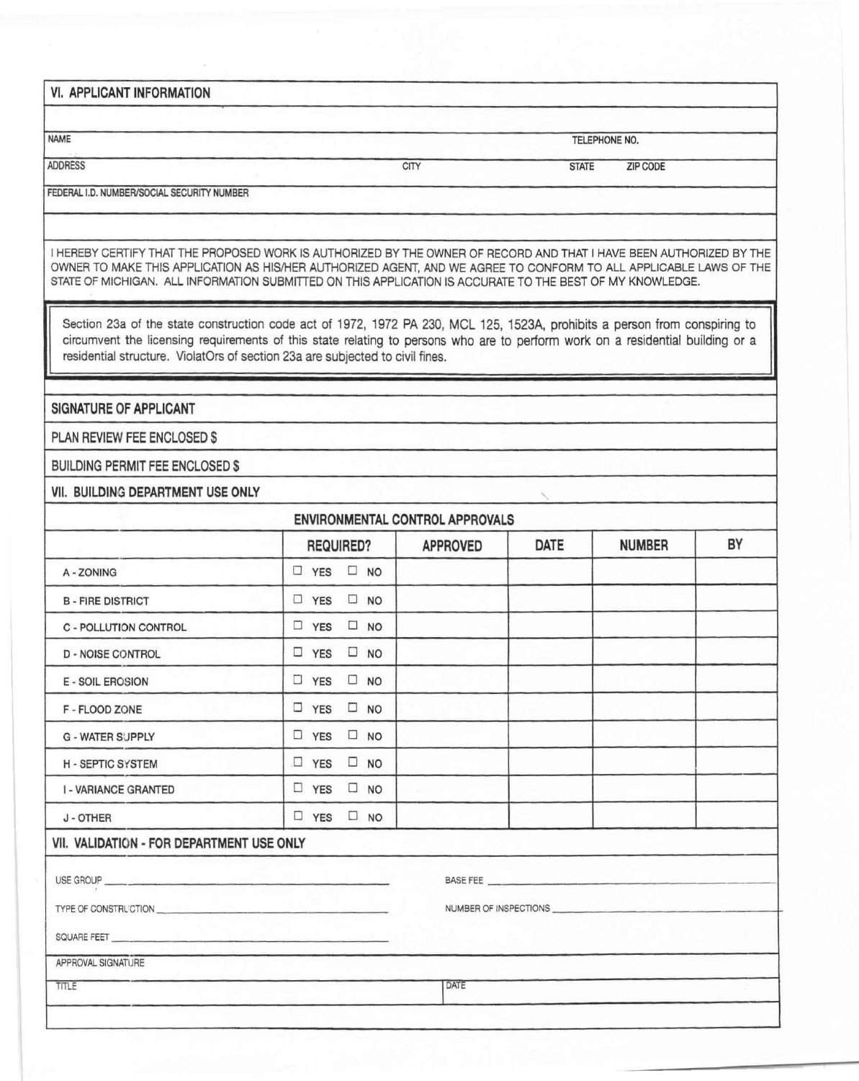VI. APPLICANT INFORMATION

NAME TELEPHONE NO.

ADDRESS THE STATE AND STATE AND STATE AND STATE AND STATE AND STATE AND STATE AND STATE AND STATE AND STATE AND STATE AND STATE AND STATE AND STATE AND STATE AND STATE AND STATE AND STATE AND STATE AND STATE AND STATE AND

FEDERAL I.D. NUMBER/SOCIAL SECURITY NUMBER

I HEREBY CERTIFY THAT THE PROPOSED WORK IS AUTHORIZED BY THE OWNER OF RECORD AND THAT I HAVE BEEN AUTHORIZED BY THE OWNER TO MAKE THIS APPLICATION AS HISIHER AUTHORIZED AGENT, AND WE AGREE TO CONFORM TO ALL APPLICABLE LAWS OF THE STATE OF MICHIGAN. ALL INFORMATION SUBMITTED ON THIS APPLICATION IS ACCURATE TO THE BEST OF MY KNOWLEDGE.

Section 23a of the state construction code act of 1972, 1972 PA 230, MCL 125, 1523A, prohibits a person from conspiring to circumvent the licensing requirements of this state relating to persons who are to perform work on a residential building or a residential structure. ViolatOrs of section 23a are subjected to civil fines.

SIGNATURE OF APPLICANT

PLAN REVIEW FEE ENCLOSED \$

BUILDING PERMIT FEE ENCLOSED \$

VII. BUILDING DEPARTMENT USE ONLY

|                                           | REQUIRED?                     | <b>APPROVED</b> | DATE | <b>NUMBER</b> | BY |
|-------------------------------------------|-------------------------------|-----------------|------|---------------|----|
| A - ZONING                                | $\Box$ YES $\Box$ NO          |                 |      |               |    |
| <b>B-FIRE DISTRICT</b>                    | $\Box$ YES $\Box$ NO          |                 |      |               |    |
| C - POLLUTION CONTROL                     | $\square$ NO<br>$\Box$ YES    |                 |      |               |    |
| <b>D - NOISE CONTROL</b>                  | $\Box$ YES<br>$\square$ NO    |                 |      |               |    |
| <b>E - SOIL EROSION</b>                   | $\Box$ YES<br>$\square$ NO    |                 |      |               |    |
| F - FLOOD ZONE                            | $\Box$ YES<br>$\square$ NO    |                 |      |               |    |
| <b>G - WATER SUPPLY</b>                   | $\Box$ YES<br>$\square$ NO    |                 |      |               |    |
| <b>H-SEPTIC SYSTEM</b>                    | $\square$ YES<br>$\square$ NO |                 |      |               |    |
| <b>I - VARIANCE GRANTED</b>               | $\Box$ YES<br>$\square$ NO    |                 |      |               |    |
| J - OTHER                                 | $\Box$ YES $\Box$ NO          |                 |      |               |    |
| VII. VALIDATION - FOR DEPARTMENT USE ONLY |                               |                 |      |               |    |
|                                           |                               |                 |      |               |    |
|                                           |                               |                 |      |               |    |
| SQUARE FEET                               |                               |                 |      |               |    |
| APPROVAL SIGNATURE                        |                               |                 |      |               |    |
| TITLE                                     |                               | DATE            |      |               |    |